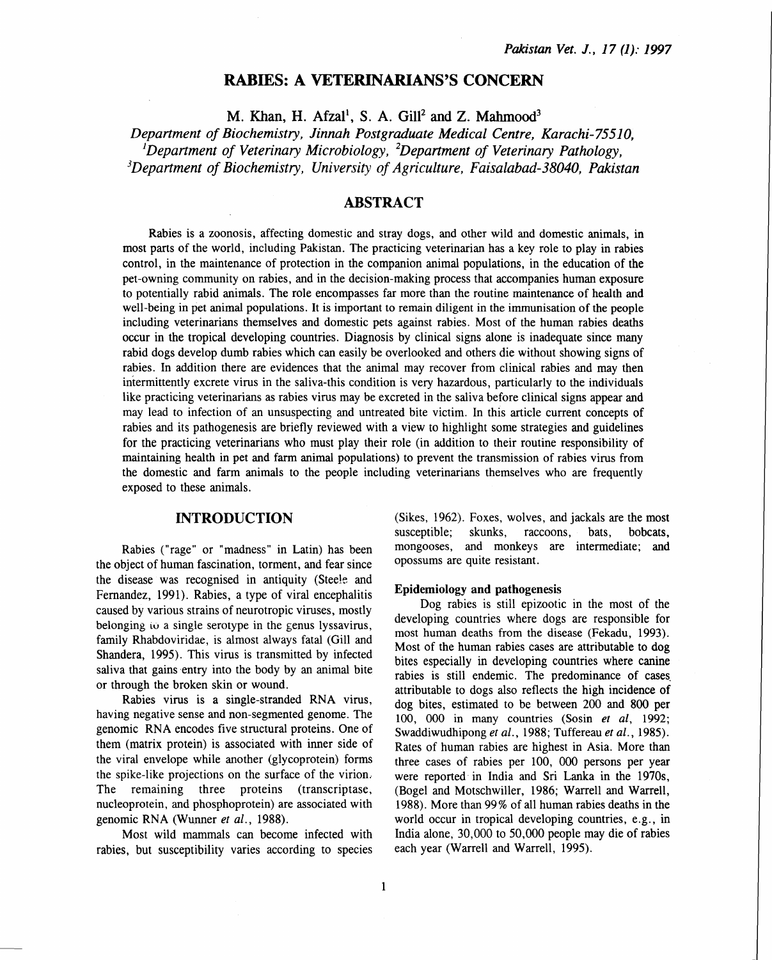# RABIES: A VETERINARIANS'S CONCERN

M. Khan, H. Afzal<sup>1</sup>, S. A. Gill<sup>2</sup> and Z. Mahmood<sup>3</sup>

*Department of Biochemistry, Jinnah Postgraduate Medical Centre, Karachi-75510, 1 Department of Veterinary Microbiology, 2 Department of Veterinary Pathology, 3 Department of Biochemistry, University of Agriculture, Faisalabad-38040, Pakistan* 

## ABSTRACT

Rabies is a zoonosis, affecting domestic and stray dogs, and other wild and domestic animals, in most parts of the world, including Pakistan. The practicing veterinarian has a key role to play in rabies control, in the maintenance of protection in the companion animal populations, in the education of the pet-owning community on rabies, and in the decision-making process that accompanies human exposure to potentially rabid animals. The role encompasses far more than the routine maintenance of health and well-being in pet animal populations. It is important to remain diligent in the immunisation of the people including veterinarians themselves and domestic pets against rabies. Most of the human rabies deaths occur in the tropical developing countries. Diagnosis by clinical signs alone is inadequate since many rabid dogs develop dumb rabies which can easily be overlooked and others die without showing signs of rabies. In addition there are evidences that the animal may recover from clinical rabies and may then intermittently excrete virus in the saliva-this condition is very hazardous, particularly to the individuals like practicing veterinarians as rabies virus may be excreted in the saliva before clinical signs appear and may lead to infection of an unsuspecting and untreated bite victim. In this article current concepts of rabies and its pathogenesis are briefly reviewed with a view to highlight some strategies and guidelines for the practicing veterinarians who must play their role (in addition to their routine responsibility of maintaining health in pet and farm animal populations) to prevent the transmission of rabies virus from the domestic and farm animals to the people including veterinarians themselves who are frequently exposed to these animals.

### INTRODUCTION

Rabies ("rage" or "madness" in Latin) has been the object of human fascination, torment, and fear since the disease was recognised in antiquity (Steele and Fernandez, 1991). Rabies, a type of viral encephalitis caused by various strains of neurotropic viruses, mostly belonging  $\omega$  a single serotype in the genus lyssavirus, family Rhabdoviridae, is almost always fatal (Gill and Shandera, 1995). This virus is transmitted by infected saliva that gains entry into the body by an animal bite or through the broken skin or wound.

Rabies virus is a single-stranded RNA virus, having negative sense and non-segmented genome. The genomic RNA encodes five structural proteins. One of them (matrix protein) is associated with inner side of the viral envelope while another (glycoprotein) forms the spike-like projections on the surface of the virion. The remaining three proteins (transcriptase, nucleoprotein, and phosphoprotein) are associated with genomic RNA (Wunner *et al.*, 1988).

Most wild mammals can become infected with rabies, but susceptibility varies according to species

(Sikes, 1962). Foxes, wolves, and jackals are the most susceptible; skunks, raccoons, bats, bobcats, mongooses, and monkeys are intermediate; and opossums are quite resistant.

### Epidemiology and pathogenesis

Dog rabies is still epizootic in the most of the developing countries where dogs are responsible for most human deaths from the disease (Fekadu, 1993). Most of the human rabies cases are attributable to dog bites especially in developing countries where canine rabies is still endemic. The predominance of cases. attributable to dogs also reflects the high incidence of dog bites, estimated to be between 200 and 800 per 100, 000 in many countries (Sosin *et al,* 1992; Swaddiwudhipong *et al.,* 1988; Tuffereau *et al.,* 1985). Rates of human rabies are highest in Asia. More than three cases of rabies per 100, 000 persons per year were reported in India and Sri Lanka in the 1970s, (Bogel and Motschwiller, 1986; Warrell and Warrell, 1988). More than 99% of all human rabies deaths in the world occur in tropical developing countries, e.g., in India alone, 30,000 to 50,000 people may die of rabies each year (Warrell and Warrell, 1995).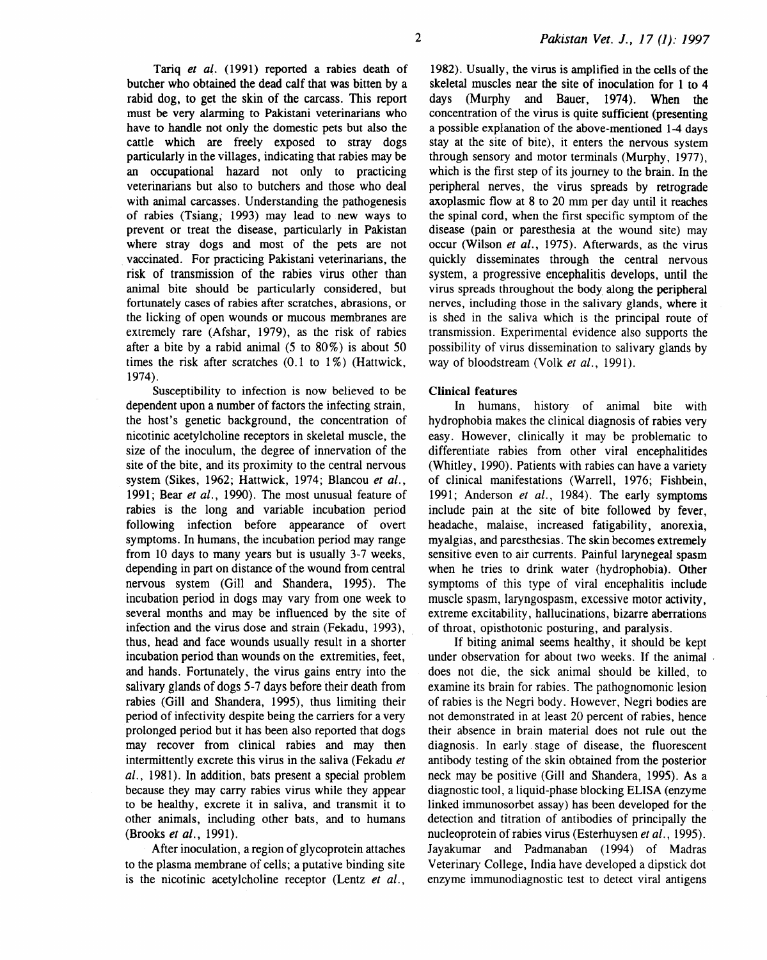Tariq *et al.* (1991) reported a rabies death of butcher who obtained the dead calf that was bitten by a rabid dog, to get the skin of the carcass. This report must be very alarming to Pakistani veterinarians who have to handle not only the domestic pets but also the cattle which are freely exposed to stray dogs particularly in the villages, indicating that rabies may be an occupational hazard not only to practicing veterinarians but also to butchers and those who deal with animal carcasses. Understanding the pathogenesis of rabies (Tsiang; 1993) may lead to new ways to prevent or treat the disease, particularly in Pakistan where stray dogs and most of the pets are not vaccinated. For practicing Pakistani veterinarians, the risk of transmission of the rabies virus other than animal bite should be particularly considered, but fortunately cases of rabies after scratches, abrasions, or the licking of open wounds or mucous membranes are extremely rare (Afshar, 1979), as the risk of rabies after a bite by a rabid animal  $(5 \text{ to } 80\%)$  is about  $50$ times the risk after scratches (0.1 to 1%) (Hattwick, 1974).

Susceptibility to infection is now believed to be dependent upon a number of factors the infecting strain, the host's genetic background, the concentration of nicotinic acetylcholine receptors in skeletal muscle, the size of the inoculum, the degree of innervation of the site of the bite, and its proximity to the central nervous system (Sikes, 1962; Hattwick, 1974; Blancou *et al.,*  1991; Bear *et al.,* 1990). The most unusual feature of rabies is the long and variable incubation period following infection before appearance of overt symptoms. In humans, the incubation period may range from 10 days to many years but is usually 3-7 weeks, depending in part on distance of the wound from central nervous system (Gill and Shandera, 1995). The incubation period in dogs may vary from one week to several months and may be influenced by the site of infection and the virus dose and strain (Fekadu, 1993), thus, head and face wounds usually result in a shorter incubation period than wounds on the extremities, feet, and hands. Fortunately, the virus gains entry into the salivary glands of dogs 5-7 days before their death from rabies (Gill and Shandera, 1995), thus limiting their period of infectivity despite being the carriers for a very prolonged period but it has been also reported that dogs may recover from clinical rabies and may then intermittently excrete this virus in the saliva (Fekadu *et al.,* 1981). In addition, bats present a special problem because they may carry rabies virus while they appear to be healthy, excrete it in saliva, and transmit it to other animals, including other bats, and to humans (Brooks *et al.,* 1991).

After inoculation, a region of glycoprotein attaches to the plasma membrane of cells; a putative binding site is the nicotinic acetylcholine receptor (Lentz *et al.,* 

1982). Usually, the virus is amplified in the cells of the skeletal muscles near the site of inoculation for 1 to 4 days (Murphy and Bauer, 1974). When the concentration of the virus is quite sufficient (presenting a possible explanation of the above-mentioned 1-4 days stay at the site of bite), it enters the nervous system through sensory and motor terminals (Murphy, 1977), which is the first step of its journey to the brain. In the peripheral nerves, the virus spreads by retrograde axoplasmic flow at 8 to 20 mm per day until it reaches the spinal cord, when the first specific symptom of the disease (pain or paresthesia at the wound site) may occur (Wilson *et al.,* 1975). Afterwards, as the virus quickly disseminates through the central nervous system, a progressive encephalitis develops, until the virus spreads throughout the body along the peripheral nerves, including those in the salivary glands, where it is shed in the saliva which is the principal route of transmission. Experimental evidence also supports the possibility of virus dissemination to salivary glands by way of bloodstream (Yolk *et al.,* 1991).

#### Clinical features

In humans, history of animal bite with hydrophobia makes the clinical diagnosis of rabies very easy. However, clinically it may be problematic to differentiate rabies from other viral encephalitides (Whitley, 1990). Patients with rabies can have a variety of clinical manifestations (Warrell, 1976; Fishbein, 1991; Anderson *et al.,* 1984). The early symptoms include pain at the site of bite followed by fever, headache, malaise, increased fatigability, anorexia, myalgias, and paresthesias. The skin becomes extremely sensitive even to air currents. Painful larynegeal spasm when he tries to drink water (hydrophobia). Other symptoms of this type of viral encephalitis include muscle spasm, laryngospasm, excessive motor activity, extreme excitability, hallucinations, bizarre aberrations of throat, opisthotonic posturing, and paralysis.

If biting animal seems healthy, it should be kept under observation for about two weeks. If the animal . does not die, the sick animal should be killed, to examine its brain for rabies. The pathognomonic lesion of rabies is the Negri body. However, Negri bodies are not demonstrated in at least 20 percent of rabies, hence their absence in brain material does not rule out the diagnosis. In early stage of disease, the fluorescent antibody testing of the skin obtained from the posterior neck may be positive (Gill and Shandera, 1995). As a diagnostic tool, a liquid-phase blocking ELISA (enzyme linked immunosorbet assay) has been developed for the detection and titration of antibodies of principally the nucleoprotein of rabies virus (Esterhuysen *et al.,* 1995). Jayakumar and Padmanaban (1994) of Madras Veterinary College, India have developed a dipstick dot enzyme immunodiagnostic test to detect viral antigens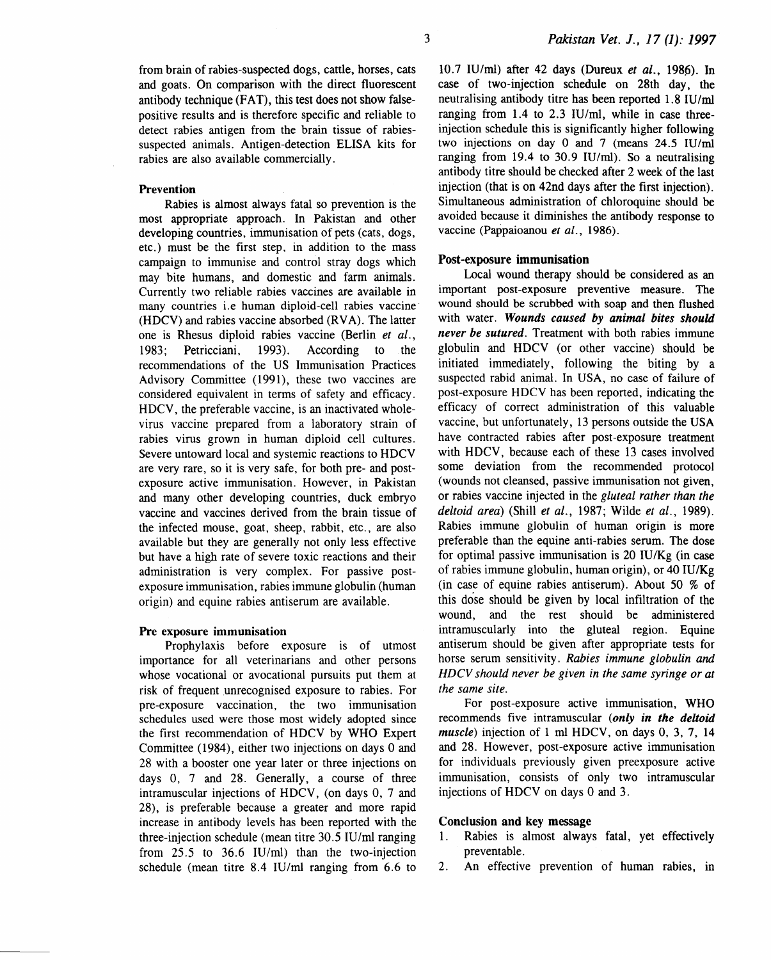from brain of rabies-suspected dogs, cattle, horses, cats and goats. On comparison with the direct fluorescent antibody technique (FAT), this test does not show falsepositive results and is therefore specific and reliable to detect rabies antigen from the brain tissue of rabiessuspected animals. Antigen-detection ELISA kits for rabies are also available commercially.

#### Prevention

Rabies is almost always fatal so prevention is the most appropriate approach. In Pakistan and other developing countries, immunisation of pets (cats, dogs, etc.) must be the first step, in addition to the mass campaign to immunise and control stray dogs which may bite humans, and domestic and farm animals. Currently two reliable rabies vaccines are available in many countries i.e human diploid-cell rabies vaccine- (HDCV) and rabies vaccine absorbed (RVA). The latter one is Rhesus diploid rabies vaccine (Berlin *et al.,*  1983; Petricciani, 1993). According to the recommendations of the US Immunisation Practices Advisory Committee (1991), these two vaccines are considered equivalent in terms of safety and efficacy. HDCV, the preferable vaccine, is an inactivated wholevirus vaccine prepared from a laboratory strain of rabies virus grown in human diploid cell cultures. Severe untoward local and systemic reactions to HDCV are very rare, so it is very safe, for both pre- and postexposure active immunisation. However, in Pakistan and many other developing countries, duck embryo vaccine and vaccines derived from the brain tissue of the infected mouse, goat, sheep, rabbit, etc., are also available but they are generally not only less effective but have a high rate of severe toxic reactions and their administration is very complex. For passive postexposure immunisation, rabies immune globulin (human origin) and equine rabies antiserum are available.

#### Pre exposure immunisation

Prophylaxis before exposure is of utmost importance for all veterinarians and other persons whose vocational or avocational pursuits put them at risk of frequent unrecognised exposure to rabies. For pre-exposure vaccination, the two immunisation schedules used were those most widely adopted since the first recommendation of HDCV by WHO Expert Committee (1984), either two injections on days 0 and 28 with a booster one year later or three injections on days 0, 7 and 28. Generally, a course of three intramuscular injections of HDCV, (on days 0, 7 and 28), is preferable because a greater and more rapid increase in antibody levels has been reported with the three-injection schedule (mean titre 30.5 IU/ml ranging from 25.5 to 36.6 IU/ml) than the two-injection schedule (mean titre 8.4 IU/ml ranging from 6.6 to 10.7 IU/ml) after 42 days (Dureux *et al.,* 1986). In case of two-injection schedule on 28th day, the neutralising antibody titre has been reported 1.8 IU/ml ranging from 1.4 to 2.3 IU/ml, while in case threeinjection schedule this is significantly higher following two injections on day 0 and 7 (means 24.5 IU/ml ranging from 19.4 to 30.9 IU/ml). So a neutralising antibody titre should be checked after 2 week of the last injection (that is on 42nd days after the first injection). Simultaneous administration of chloroquine should be avoided because it diminishes the antibody response to vaccine (Pappaioanou *et al.,* 1986).

#### Post-exposure immunisation

Local wound therapy should be considered as an important post-exposure preventive measure. The wound should be scrubbed with soap and then flushed with water. *Wounds caused by animal bites should never be sutured.* Treatment with both rabies immune globulin and HDCV (or other vaccine) should be initiated immediately, following the biting by a suspected rabid animal. In USA, no case of failure of post-exposure HDCV has been reported, indicating the efficacy of correct administration of this valuable vaccine, but unfortunately, 13 persons outside the USA have contracted rabies after post -exposure treatment with HDCV, because each of these 13 cases involved some deviation from the recommended protocol (wounds not cleansed, passive immunisation not given, or rabies vaccine injected in the *gluteal rather than the deltoid area)* (Shill *et al.,* 1987; Wilde *et al.,* 1989). Rabies immune globulin of human origin is more preferable than the equine anti-rabies serum. The dose for optimal passive immunisation is  $20 \text{ IU/Kg}$  (in case of rabies immune globulin, human origin), or 40 IU/Kg (in case of equine rabies antiserum). About 50 % of this dose should be given by local infiltration of the wound, and the rest should be administered intramuscularly into the gluteal region. Equine antiserum should be given after appropriate tests for horse serum sensitivity. *Rabies immune globulin and HDCV should never be given in the same syringe or at the same site.* 

For post-exposure active immunisation, WHO recommends five intramuscular *(only in the deltoid muscle)* injection of 1 ml HDCV, on days 0, 3, 7, 14 and 28. However, post-exposure active immunisation for individuals previously given preexposure active immunisation, consists of only two intramuscular injections of HDCV on days 0 and 3.

## Conclusion and key message

- 1. Rabies is almost always fatal, yet effectively preventable.
- 2. An effective prevention of human rabies, in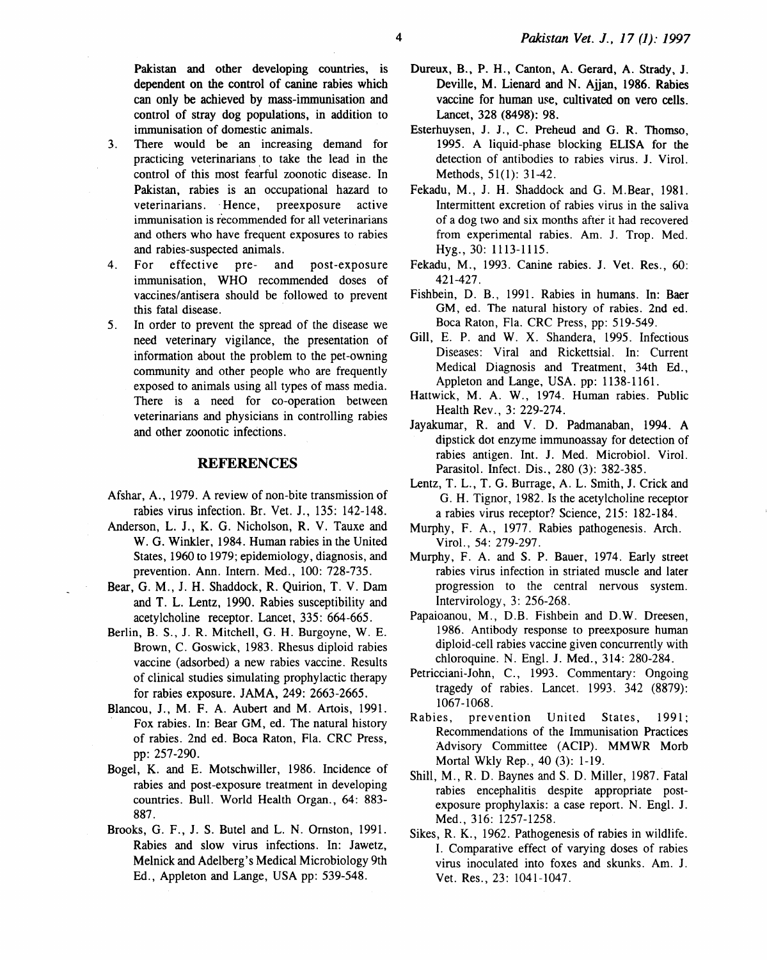Pakistan and other developing countries, is dependent on the control of canine rabies which can only be achieved by mass-immunisation and control of stray dog populations, in addition to immunisation of domestic animals.

- 3. There would be an increasing demand for practicing veterinarians to take the lead in the control of this most fearful zoonotic disease. In Pakistan, rabies is an occupational hazard to veterinarians. ·Hence, preexposure active immunisation is recommended for all veterinarians and others who have frequent exposures to rabies and rabies-suspected animals.
- 4. For effective pre- and post-exposure immunisation, WHO recommended doses of vaccines/antisera should be followed to prevent this fatal disease.
- 5. In order to prevent the spread of the disease we need veterinary vigilance, the presentation of information about the problem to the pet -owning community and other people who are frequently exposed to animals using all types of mass media. There is a need for co-operation between veterinarians and physicians in controlling rabies and other zoonotic infections.

## **REFERENCES**

- Afshar, A., 1979. A review of non-bite transmission of rabies virus infection. Br. Vet. J., 135: 142-148.
- Anderson, L. J., K. G. Nicholson, R. V. Tauxe and W. G. Winkler, 1984. Human rabies in the United States, 1960 to 1979; epidemiology, diagnosis, and prevention. Ann. Intern. Med., 100: 728-735.
- Bear, G. M., J. H. Shaddock, R. Quirion, T. V. Dam and T. L. Lentz, 1990. Rabies susceptibility and acetylcholine receptor. Lancet, 335: 664-665.
- Berlin, B. S., J. R. Mitchell, G. H. Burgoyne, W. E. Brown, C. Goswick, 1983. Rhesus diploid rabies vaccine (adsorbed) a new rabies vaccine. Results of clinical studies simulating prophylactic therapy for rabies exposure. JAMA, 249: 2663-2665.
- Blancou, J., M. F. A. Aubert and M. Artois, 1991. Fox rabies. In: Bear GM, ed. The natural history of rabies. 2nd ed. Boca Raton, Fla. CRC Press, pp: 257-290.
- Bogel, K. and E. Motschwiller, 1986. Incidence of rabies and post-exposure treatment in developing countries. Bull. World Health Organ., 64: 883- 887.
- Brooks, G. F., J. S. Butel and L. N. Omston, 1991. Rabies and slow virus infections. In: Jawetz, Melnick and Adelberg's Medical Microbiology 9th Ed., Appleton and Lange, USA pp: 539-548.
- Dureux, B., P. H., Canton, A. Gerard, A. Strady, J. Deville, M. Lienard and N. Aijan, 1986. Rabies vaccine for human use, cultivated on vero cells. Lancet, 328 (8498): 98.
- Esterhuysen, J. 1., C. Preheud and G. R. Thomso, 1995. A liquid-phase blocking ELISA for the detection of antibodies to rabies virus. J. Virol. Methods, 51(1): 31-42.
- Fekadu, M., J. H. Shaddock and G. M.Bear, 1981. Intermittent excretion of rabies virus in the saliva of a dog two and six months after it had recovered from experimental rabies. Am. J. Trop. Med. Hyg., 30: 1113-1115.
- Fekadu, M., 1993. Canine rabies. J. Vet. Res., 60: 421-427.
- Fishbein, D. B., 1991. Rabies in humans. In: Baer GM, ed. The natural history of rabies. 2nd ed. Boca Raton, Fla. CRC Press, pp: 519-549.
- Gill, E. P. and W. X. Shandera, 1995. Infectious Diseases: Viral and Rickettsial. In: Current Medical Diagnosis and Treatment, 34th Ed., Appleton and Lange, USA. pp: 1138-1161.
- Hattwick, M. A. W., 1974. Human rabies. Public Health Rev., 3: 229-274.
- Jayakumar, R. and V. D. Padmanaban, 1994. A dipstick dot enzyme immunoassay for detection of rabies antigen. Int. J. Med. Microbiol. Virol. Parasitol. Infect. Dis., 280 (3): 382-385.
- Lentz, T. L., T. G. Burrage, A. L. Smith, J. Crick and G. H. Tignor, 1982. Is the acetylcholine receptor a rabies virus receptor? Science, 215: 182-184.
- Murphy, F. A., 1977. Rabies pathogenesis. Arch. Virol., 54: 279-297.
- Murphy, F. A. and S. P. Bauer, 1974. Early street rabies virus infection in striated muscle and later progression to the central nervous system. lntervirology, 3: 256-268.
- Papaioanou, M., D.B. Fishbein and D.W. Dreesen, 1986. Antibody response to preexposure human diploid-cell rabies vaccine given concurrently with chloroquine. N. Engl. J. Med., 314: 280-284.
- Petricciani-John, C., 1993. Commentary: Ongoing tragedy of rabies. Lancet. 1993. 342 (8879): 1067-1068.
- Rabies, prevention United States, 1991; Recommendations of the Immunisation Practices Advisory Committee (ACIP). MMWR Morb Mortal Wkly Rep., 40 (3): 1-19.
- Shill, M., R. D. Baynes and S. D. Miller, 1987. Fatal rabies encephalitis despite appropriate postexposure prophylaxis: a case report. N. Engl. J. Med., 316: 1257-1258.
- Sikes, R. K., 1962. Pathogenesis of rabies in wildlife. I. Comparative effect of varying doses of rabies virus inoculated into foxes and skunks. Am. 1. Vet. Res., 23: 1041-1047.